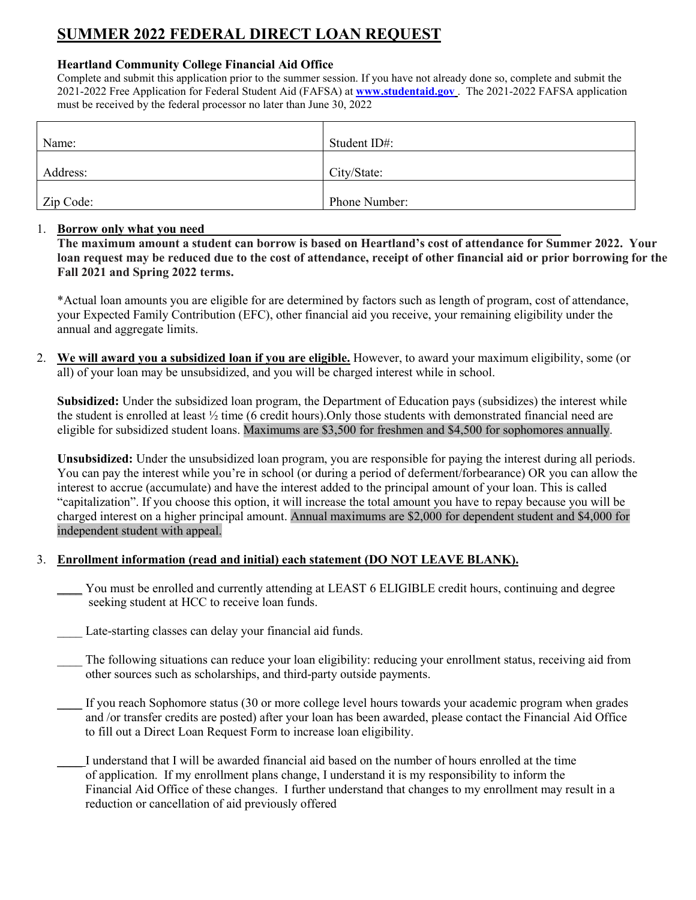## **SUMMER 2022 FEDERAL DIRECT LOAN REQUEST**

### **Heartland Community College Financial Aid Office**

Complete and submit this application prior to the summer session. If you have not already done so, complete and submit the 2021-2022 Free Application for Federal Student Aid (FAFSA) at **[www.studentaid.gov](http://www.studentaid.gov/)** . The 2021-2022 FAFSA application must be received by the federal processor no later than June 30, 2022

| Name:     | Student ID#:  |
|-----------|---------------|
| Address:  | City/State:   |
| Zip Code: | Phone Number: |

### 1. **Borrow only what you need**

**The maximum amount a student can borrow is based on Heartland's cost of attendance for Summer 2022. Your loan request may be reduced due to the cost of attendance, receipt of other financial aid or prior borrowing for the Fall 2021 and Spring 2022 terms.** 

\*Actual loan amounts you are eligible for are determined by factors such as length of program, cost of attendance, your Expected Family Contribution (EFC), other financial aid you receive, your remaining eligibility under the annual and aggregate limits.

2. **We will award you a subsidized loan if you are eligible.** However, to award your maximum eligibility, some (or all) of your loan may be unsubsidized, and you will be charged interest while in school.

**Subsidized:** Under the subsidized loan program, the Department of Education pays (subsidizes) the interest while the student is enrolled at least ½ time (6 credit hours).Only those students with demonstrated financial need are eligible for subsidized student loans. Maximums are \$3,500 for freshmen and \$4,500 for sophomores annually.

**Unsubsidized:** Under the unsubsidized loan program, you are responsible for paying the interest during all periods. You can pay the interest while you're in school (or during a period of deferment/forbearance) OR you can allow the interest to accrue (accumulate) and have the interest added to the principal amount of your loan. This is called "capitalization". If you choose this option, it will increase the total amount you have to repay because you will be charged interest on a higher principal amount. Annual maximums are \$2,000 for dependent student and \$4,000 for independent student with appeal.

### 3. **Enrollment information (read and initial) each statement (DO NOT LEAVE BLANK).**

\_\_\_\_ You must be enrolled and currently attending at LEAST 6 ELIGIBLE credit hours, continuing and degree seeking student at HCC to receive loan funds.

Late-starting classes can delay your financial aid funds.

The following situations can reduce your loan eligibility: reducing your enrollment status, receiving aid from other sources such as scholarships, and third-party outside payments.

If you reach Sophomore status (30 or more college level hours towards your academic program when grades and /or transfer credits are posted) after your loan has been awarded, please contact the Financial Aid Office to fill out a Direct Loan Request Form to increase loan eligibility.

\_\_\_\_ I understand that I will be awarded financial aid based on the number of hours enrolled at the time of application. If my enrollment plans change, I understand it is my responsibility to inform the Financial Aid Office of these changes. I further understand that changes to my enrollment may result in a reduction or cancellation of aid previously offered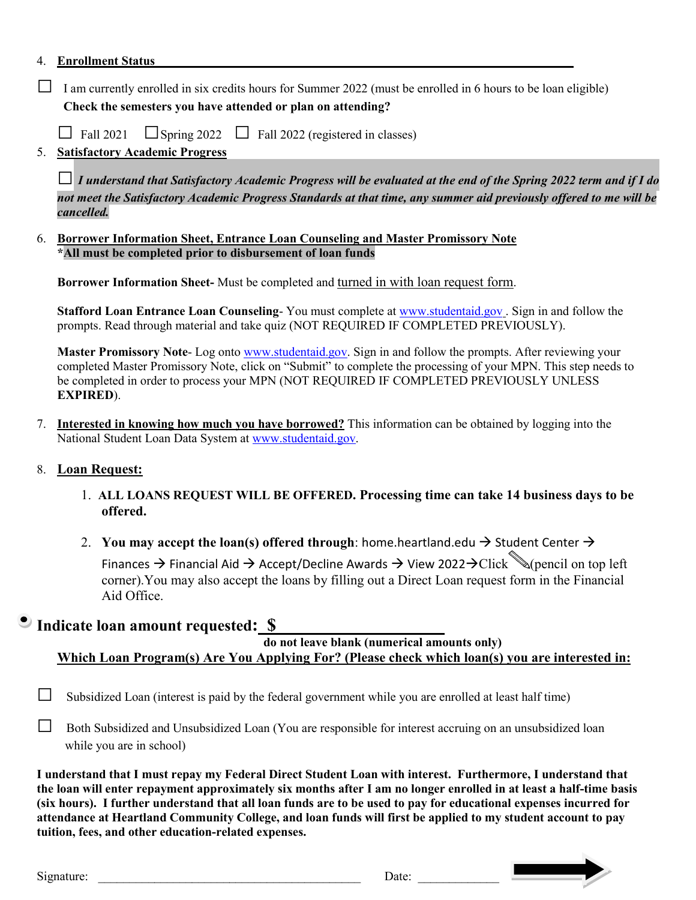### 4. **Enrollment Status\_\_\_\_\_\_\_\_\_\_\_\_\_\_\_\_\_\_\_\_\_\_\_\_\_\_\_\_\_\_\_\_\_\_\_\_\_\_\_\_\_\_\_\_\_\_\_\_\_\_\_\_\_\_\_\_\_\_\_\_\_\_\_\_\_\_\_**

 $\Box$  I am currently enrolled in six credits hours for Summer 2022 (must be enrolled in 6 hours to be loan eligible) **Check the semesters you have attended or plan on attending?**

 $\Box$  Fall 2021  $\Box$  Spring 2022  $\Box$  Fall 2022 (registered in classes)

### 5. **Satisfactory Academic Progress**

□ *I understand that Satisfactory Academic Progress will be evaluated at the end of the Spring 2022 term and if I do not meet the Satisfactory Academic Progress Standards at that time, any summer aid previously offered to me will be cancelled.*

6. **Borrower Information Sheet, Entrance Loan Counseling and Master Promissory Note \*All must be completed prior to disbursement of loan funds**

**Borrower Information Sheet-** Must be completed and turned in with loan request form.

**Stafford Loan Entrance Loan Counseling**- You must complete at [www.studentaid.gov](http://www.studentaid.gov/) . Sign in and follow the prompts. Read through material and take quiz (NOT REQUIRED IF COMPLETED PREVIOUSLY).

Master Promissory Note- Log onto [www.studentaid.gov.](http://www.studentaid.gov/) Sign in and follow the prompts. After reviewing your completed Master Promissory Note, click on "Submit" to complete the processing of your MPN. This step needs to be completed in order to process your MPN (NOT REQUIRED IF COMPLETED PREVIOUSLY UNLESS **EXPIRED**).

7. **Interested in knowing how much you have borrowed?** This information can be obtained by logging into the National Student Loan Data System at [www.studentaid.gov.](http://www.studentaid.gov/)

### 8. **Loan Request:**

- 1. **ALL LOANS REQUEST WILL BE OFFERED. Processing time can take 14 business days to be offered.**
- 2. You may accept the loan(s) offered through: home.heartland.edu  $\rightarrow$  Student Center  $\rightarrow$ Finances  $\rightarrow$  Financial Aid  $\rightarrow$  Accept/Decline Awards  $\rightarrow$  View 2022 $\rightarrow$ Click  $\mathcal{N}($ pencil on top left corner).You may also accept the loans by filling out a Direct Loan request form in the Financial Aid Office.

Indicate loan amount requested:  $\frac{\$}{\$}$  do not leave blank (numerical amounts only) **Which Loan Program(s) Are You Applying For? (Please check which loan(s) you are interested in:**

 $\Box$  Subsidized Loan (interest is paid by the federal government while you are enrolled at least half time)

 $\Box$  Both Subsidized and Unsubsidized Loan (You are responsible for interest accruing on an unsubsidized loan while you are in school)

**I understand that I must repay my Federal Direct Student Loan with interest. Furthermore, I understand that the loan will enter repayment approximately six months after I am no longer enrolled in at least a half-time basis (six hours). I further understand that all loan funds are to be used to pay for educational expenses incurred for attendance at Heartland Community College, and loan funds will first be applied to my student account to pay tuition, fees, and other education-related expenses.**

Signature: \_\_\_\_\_\_\_\_\_\_\_\_\_\_\_\_\_\_\_\_\_\_\_\_\_\_\_\_\_\_\_\_\_\_\_\_\_\_\_\_\_\_ Date: \_\_\_\_\_\_\_\_\_\_\_\_\_